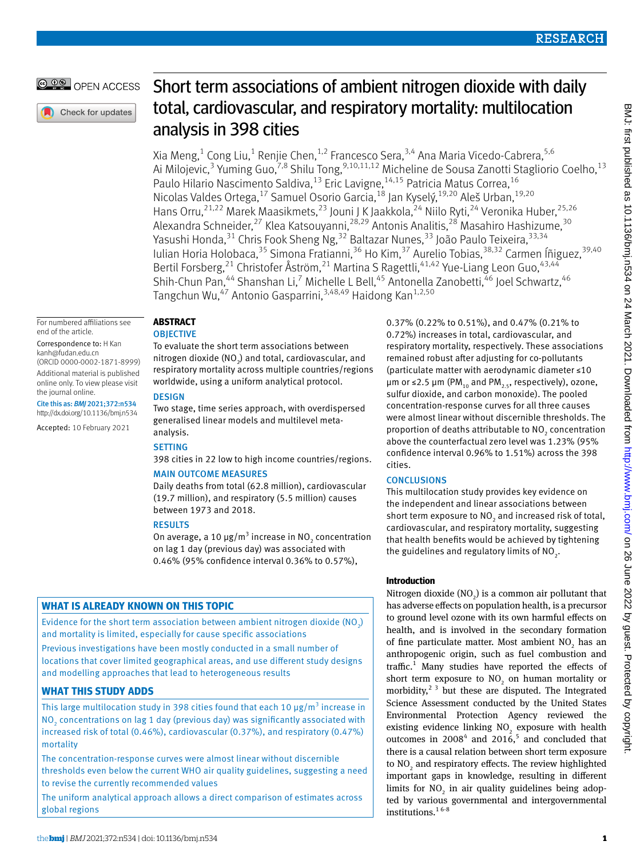## OPEN ACCESS

Check for updates

# Short term associations of ambient nitrogen dioxide with daily total, cardiovascular, and respiratory mortality: multilocation analysis in 398 cities

Xia Meng,<sup>1</sup> Cong Liu,<sup>1</sup> Renjie Chen,<sup>1,2</sup> Francesco Sera,<sup>3,4</sup> Ana Maria Vicedo-Cabrera,<sup>5,6</sup> Ai Milojevic,<sup>3</sup> Yuming Guo,<sup>7,8</sup> Shilu Tong,<sup>9,10,11,12</sup> Micheline de Sousa Zanotti Stagliorio Coelho,<sup>13</sup> Paulo Hilario Nascimento Saldiva, <sup>13</sup> Eric Lavigne, <sup>14,15</sup> Patricia Matus Correa, <sup>16</sup> Nicolas Valdes Ortega,<sup>17</sup> Samuel Osorio Garcia,<sup>18</sup> Jan Kyselý,<sup>19,20</sup> Aleš Urban,<sup>19,20</sup> Hans Orru,<sup>21,22</sup> Marek Maasikmets,<sup>23</sup> Jouni J K Jaakkola,<sup>24</sup> Niilo Ryti,<sup>24</sup> Veronika Huber,<sup>25,26</sup> Alexandra Schneider,<sup>27</sup> Klea Katsouyanni,<sup>28,29</sup> Antonis Analitis,<sup>28</sup> Masahiro Hashizume,<sup>30</sup> Yasushi Honda,<sup>31</sup> Chris Fook Sheng Ng,<sup>32</sup> Baltazar Nunes,<sup>33</sup> João Paulo Teixeira,<sup>33,34</sup> Iulian Horia Holobaca,<sup>35</sup> Simona Fratianni,<sup>36</sup> Ho Kim,<sup>37</sup> Aurelio Tobias,<sup>38,32</sup> Carmen Íñiguez,<sup>39,40</sup> Bertil Forsberg,<sup>21</sup> Christofer Åström,<sup>21</sup> Martina S Ragettli,<sup>41,42</sup> Yue-Liang Leon Guo,<sup>43,44</sup> Shih-Chun Pan,<sup>44</sup> Shanshan Li,<sup>7</sup> Michelle L Bell,<sup>45</sup> Antonella Zanobetti,<sup>46</sup> Joel Schwartz,<sup>46</sup> Tangchun Wu,<sup>47</sup> Antonio Gasparrini,<sup>3,48,49</sup> Haidong Kan<sup>1,2,50</sup>

For numbered affiliations see end of the article.

Correspondence to: H Kan [kanh@fudan.edu.cn](mailto:kanh@fudan.edu.cn) (ORCID [0000-0002-1871-8999\)](http://orcid.org/0000-0002-1871-8999) Additional material is published online only. To view please visit the journal online.

Cite this as: *BMJ* 2021;372:n534 http://dx.doi.org/10.1136/bmj.n534

Accepted: 10 February 2021

## **Abstract**

### **OBJECTIVE**

To evaluate the short term associations between nitrogen dioxide (NO $_{2}$ ) and total, cardiovascular, and respiratory mortality across multiple countries/regions worldwide, using a uniform analytical protocol.

## **DESIGN**

Two stage, time series approach, with overdispersed generalised linear models and multilevel metaanalysis.

## **SETTING**

398 cities in 22 low to high income countries/regions.

## Main outcome measures

Daily deaths from total (62.8 million), cardiovascular (19.7 million), and respiratory (5.5 million) causes between 1973 and 2018.

## **RESULTS**

On average, a 10 μg/m<sup>3</sup> increase in NO<sub>2</sub> concentration on lag 1 day (previous day) was associated with 0.46% (95% confidence interval 0.36% to 0.57%),

## **What is already known on this topic**

Evidence for the short term association between ambient nitrogen dioxide (NO2) and mortality is limited, especially for cause specific associations Previous investigations have been mostly conducted in a small number of locations that cover limited geographical areas, and use different study designs and modelling approaches that lead to heterogeneous results

## **What this study adds**

This large multilocation study in 398 cities found that each 10  $\mu$ g/m<sup>3</sup> increase in NO2 concentrations on lag 1 day (previous day) was significantly associated with increased risk of total (0.46%), cardiovascular (0.37%), and respiratory (0.47%) mortality

The concentration-response curves were almost linear without discernible thresholds even below the current WHO air quality guidelines, suggesting a need to revise the currently recommended values

The uniform analytical approach allows a direct comparison of estimates across global regions

0.37% (0.22% to 0.51%), and 0.47% (0.21% to 0.72%) increases in total, cardiovascular, and respiratory mortality, respectively. These associations remained robust after adjusting for co-pollutants (particulate matter with aerodynamic diameter ≤10 μm or ≤2.5 μm (PM<sub>10</sub> and PM<sub>2.5</sub>, respectively), ozone, sulfur dioxide, and carbon monoxide). The pooled concentration-response curves for all three causes were almost linear without discernible thresholds. The proportion of deaths attributable to  $NO<sub>2</sub>$  concentration above the counterfactual zero level was 1.23% (95% confidence interval 0.96% to 1.51%) across the 398 cities.

## **CONCLUSIONS**

This multilocation study provides key evidence on the independent and linear associations between short term exposure to  $\mathrm{NO}_2$  and increased risk of total, cardiovascular, and respiratory mortality, suggesting that health benefits would be achieved by tightening the guidelines and regulatory limits of NO<sub>2</sub>.

## **Introduction**

Nitrogen dioxide  $(NO<sub>2</sub>)$  is a common air pollutant that has adverse effects on population health, is a precursor to ground level ozone with its own harmful effects on health, and is involved in the secondary formation of fine particulate matter. Most ambient  $NO<sub>2</sub>$  has an anthropogenic origin, such as fuel combustion and traffic.<sup>1</sup> Many studies have reported the effects of short term exposure to  $NO<sub>2</sub>$  on human mortality or morbidity,<sup>2 3</sup> but these are disputed. The Integrated Science Assessment conducted by the United States Environmental Protection Agency reviewed the existing evidence linking  $NO<sub>2</sub>$  exposure with health outcomes in  $2008<sup>4</sup>$  and  $2016<sup>5</sup>$  and concluded that there is a causal relation between short term exposure to  $NO<sub>2</sub>$  and respiratory effects. The review highlighted important gaps in knowledge, resulting in different limits for  $NO<sub>2</sub>$  in air quality guidelines being adopted by various governmental and intergovernmental institutions.<sup>16-8</sup>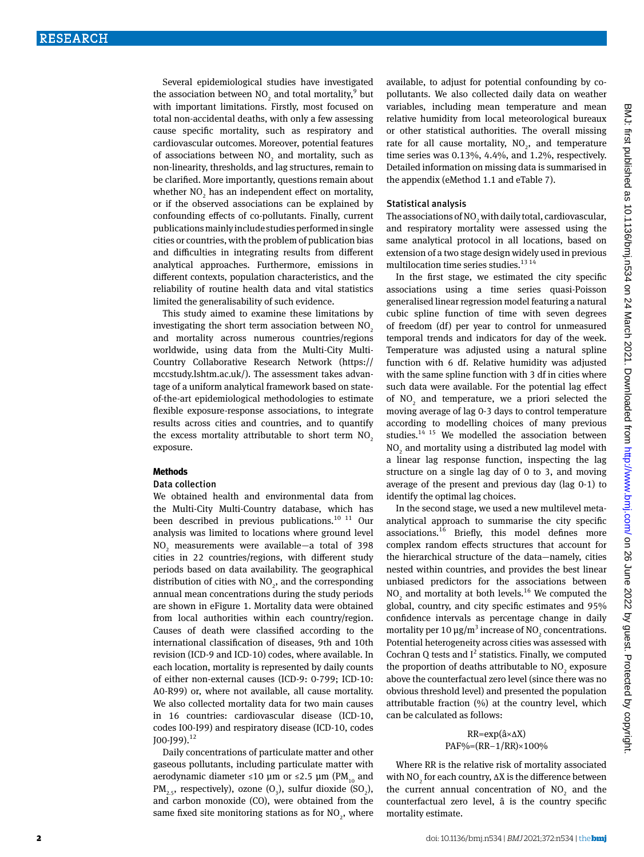Several epidemiological studies have investigated the association between  $NO_2$  and total mortality,  $9$  but with important limitations. Firstly, most focused on total non-accidental deaths, with only a few assessing cause specific mortality, such as respiratory and cardiovascular outcomes. Moreover, potential features of associations between  $NO<sub>2</sub>$  and mortality, such as non-linearity, thresholds, and lag structures, remain to be clarified. More importantly, questions remain about whether  $NO<sub>2</sub>$  has an independent effect on mortality, or if the observed associations can be explained by confounding effects of co-pollutants. Finally, current publications mainly include studies performed in single cities or countries, with the problem of publication bias and difficulties in integrating results from different analytical approaches. Furthermore, emissions in different contexts, population characteristics, and the reliability of routine health data and vital statistics limited the generalisability of such evidence.

This study aimed to examine these limitations by investigating the short term association between NO<sub>2</sub> and mortality across numerous countries/regions worldwide, using data from the Multi-City Multi-Country Collaborative Research Network ([https://](https://mccstudy.lshtm.ac.uk/) [mccstudy.lshtm.ac.uk/\)](https://mccstudy.lshtm.ac.uk/). The assessment takes advantage of a uniform analytical framework based on stateof-the-art epidemiological methodologies to estimate flexible exposure-response associations, to integrate results across cities and countries, and to quantify the excess mortality attributable to short term  $NO<sub>2</sub>$ exposure.

#### **Methods**

#### Data collection

We obtained health and environmental data from the Multi-City Multi-Country database, which has been described in previous publications. $10^{-11}$  Our analysis was limited to locations where ground level NO<sub>2</sub> measurements were available—a total of 398 cities in 22 countries/regions, with different study periods based on data availability. The geographical distribution of cities with  $NO<sub>2</sub>$ , and the corresponding annual mean concentrations during the study periods are shown in eFigure 1. Mortality data were obtained from local authorities within each country/region. Causes of death were classified according to the international classification of diseases, 9th and 10th revision (ICD-9 and ICD-10) codes, where available. In each location, mortality is represented by daily counts of either non-external causes (ICD-9: 0-799; ICD-10: A0-R99) or, where not available, all cause mortality. We also collected mortality data for two main causes in 16 countries: cardiovascular disease (ICD-10, codes I00-I99) and respiratory disease (ICD-10, codes  $[100 - 199]$ .<sup>12</sup>

Daily concentrations of particulate matter and other gaseous pollutants, including particulate matter with aerodynamic diameter ≤10 μm or ≤2.5 μm (PM<sub>10</sub> and  $PM_{2.5}$ , respectively), ozone  $(O_3)$ , sulfur dioxide  $(SO_2)$ , and carbon monoxide (CO), were obtained from the same fixed site monitoring stations as for  $NO_2$ , where available, to adjust for potential confounding by copollutants. We also collected daily data on weather variables, including mean temperature and mean relative humidity from local meteorological bureaux or other statistical authorities. The overall missing rate for all cause mortality,  $NO<sub>2</sub>$ , and temperature time series was 0.13%, 4.4%, and 1.2%, respectively. Detailed information on missing data is summarised in the appendix (eMethod 1.1 and eTable 7).

#### Statistical analysis

The associations of  $\mathrm{NO}_2$  with daily total, cardiovascular, and respiratory mortality were assessed using the same analytical protocol in all locations, based on extension of a two stage design widely used in previous multilocation time series studies.<sup>13 14</sup>

In the first stage, we estimated the city specific associations using a time series quasi-Poisson generalised linear regression model featuring a natural cubic spline function of time with seven degrees of freedom (df) per year to control for unmeasured temporal trends and indicators for day of the week. Temperature was adjusted using a natural spline function with 6 df. Relative humidity was adjusted with the same spline function with 3 df in cities where such data were available. For the potential lag effect of  $NO<sub>2</sub>$  and temperature, we a priori selected the moving average of lag 0-3 days to control temperature according to modelling choices of many previous studies. $14$  15 We modelled the association between  $\rm NO_2$  and mortality using a distributed lag model with a linear lag response function, inspecting the lag structure on a single lag day of 0 to 3, and moving average of the present and previous day (lag 0-1) to identify the optimal lag choices.

In the second stage, we used a new multilevel metaanalytical approach to summarise the city specific associations.16 Briefly, this model defines more complex random effects structures that account for the hierarchical structure of the data—namely, cities nested within countries, and provides the best linear unbiased predictors for the associations between  $NO<sub>2</sub>$  and mortality at both levels.<sup>16</sup> We computed the global, country, and city specific estimates and 95% confidence intervals as percentage change in daily mortality per 10  $\mu$ g/m<sup>3</sup> increase of NO<sub>2</sub> concentrations. Potential heterogeneity across cities was assessed with Cochran Q tests and  $I^2$  statistics. Finally, we computed the proportion of deaths attributable to  $NO_2$  exposure above the counterfactual zero level (since there was no obvious threshold level) and presented the population attributable fraction (%) at the country level, which can be calculated as follows:

### RR=exp(â×∆X) PAF%=(RR-1/RR)×100%

Where RR is the relative risk of mortality associated with  $NO<sub>2</sub>$  for each country,  $\Delta X$  is the difference between the current annual concentration of  $NO<sub>2</sub>$  and the counterfactual zero level, â is the country specific mortality estimate.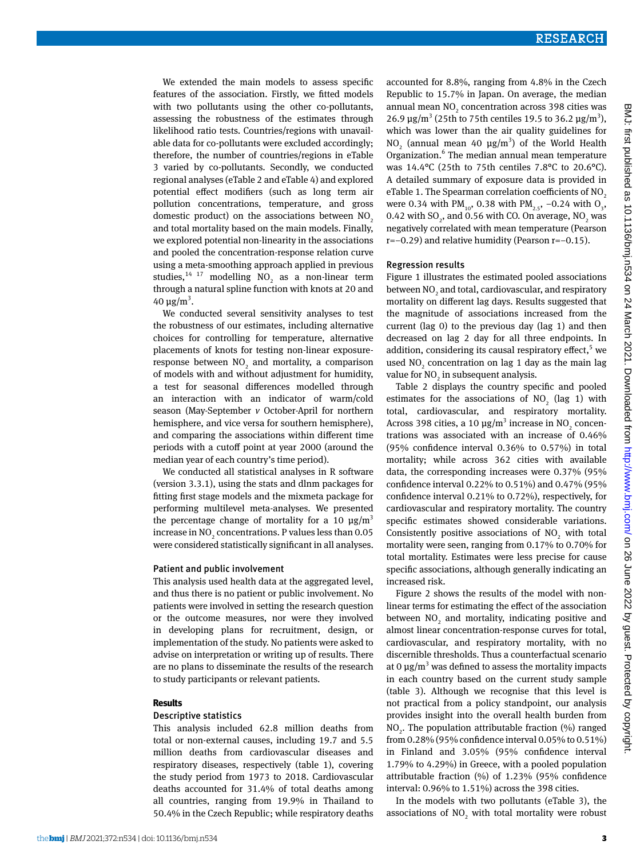We extended the main models to assess specific features of the association. Firstly, we fitted models with two pollutants using the other co-pollutants, assessing the robustness of the estimates through likelihood ratio tests. Countries/regions with unavailable data for co-pollutants were excluded accordingly; therefore, the number of countries/regions in eTable 3 varied by co-pollutants. Secondly, we conducted regional analyses (eTable 2 and eTable 4) and explored potential effect modifiers (such as long term air pollution concentrations, temperature, and gross domestic product) on the associations between  $NO<sub>2</sub>$ and total mortality based on the main models. Finally, we explored potential non-linearity in the associations and pooled the concentration-response relation curve using a meta-smoothing approach applied in previous studies,  $14 \frac{17}{17}$  modelling NO<sub>2</sub> as a non-linear term through a natural spline function with knots at 20 and 40 μg/m<sup>3</sup>.

We conducted several sensitivity analyses to test the robustness of our estimates, including alternative choices for controlling for temperature, alternative placements of knots for testing non-linear exposureresponse between  $NO<sub>2</sub>$  and mortality, a comparison of models with and without adjustment for humidity, a test for seasonal differences modelled through an interaction with an indicator of warm/cold season (May-September *v* October-April for northern hemisphere, and vice versa for southern hemisphere), and comparing the associations within different time periods with a cutoff point at year 2000 (around the median year of each country's time period).

We conducted all statistical analyses in R software (version 3.3.1), using the stats and dlnm packages for fitting first stage models and the mixmeta package for performing multilevel meta-analyses. We presented the percentage change of mortality for a 10  $\mu$ g/m<sup>3</sup> increase in  $\rm NO_2$  concentrations. P values less than 0.05 were considered statistically significant in all analyses.

#### Patient and public involvement

This analysis used health data at the aggregated level, and thus there is no patient or public involvement. No patients were involved in setting the research question or the outcome measures, nor were they involved in developing plans for recruitment, design, or implementation of the study. No patients were asked to advise on interpretation or writing up of results. There are no plans to disseminate the results of the research to study participants or relevant patients.

#### **Results**

#### Descriptive statistics

This analysis included 62.8 million deaths from total or non-external causes, including 19.7 and 5.5 million deaths from cardiovascular diseases and respiratory diseases, respectively (table 1), covering the study period from 1973 to 2018. Cardiovascular deaths accounted for 31.4% of total deaths among all countries, ranging from 19.9% in Thailand to 50.4% in the Czech Republic; while respiratory deaths

#### Regression results

Figure 1 illustrates the estimated pooled associations between  $\mathrm{NO}_2$  and total, cardiovascular, and respiratory mortality on different lag days. Results suggested that the magnitude of associations increased from the current (lag 0) to the previous day (lag 1) and then decreased on lag 2 day for all three endpoints. In addition, considering its causal respiratory effect,<sup>5</sup> we used  $NO_2$  concentration on lag 1 day as the main lag value for  $NO<sub>2</sub>$  in subsequent analysis.

Table 2 displays the country specific and pooled estimates for the associations of  $NO<sub>2</sub>$  (lag 1) with total, cardiovascular, and respiratory mortality. Across 398 cities, a 10  $\mu$ g/m<sup>3</sup> increase in NO<sub>2</sub> concentrations was associated with an increase of 0.46% (95% confidence interval 0.36% to 0.57%) in total mortality; while across 362 cities with available data, the corresponding increases were 0.37% (95% confidence interval 0.22% to 0.51%) and 0.47% (95% confidence interval 0.21% to 0.72%), respectively, for cardiovascular and respiratory mortality. The country specific estimates showed considerable variations. Consistently positive associations of  $NO<sub>2</sub>$  with total mortality were seen, ranging from 0.17% to 0.70% for total mortality. Estimates were less precise for cause specific associations, although generally indicating an increased risk.

Figure 2 shows the results of the model with nonlinear terms for estimating the effect of the association between  $NO<sub>2</sub>$  and mortality, indicating positive and almost linear concentration-response curves for total, cardiovascular, and respiratory mortality, with no discernible thresholds. Thus a counterfactual scenario at 0  $\mu$ g/m<sup>3</sup> was defined to assess the mortality impacts in each country based on the current study sample (table 3). Although we recognise that this level is not practical from a policy standpoint, our analysis provides insight into the overall health burden from  $NO<sub>2</sub>$ . The population attributable fraction (%) ranged from 0.28% (95% confidence interval 0.05% to 0.51%) in Finland and 3.05% (95% confidence interval 1.79% to 4.29%) in Greece, with a pooled population attributable fraction (%) of 1.23% (95% confidence interval: 0.96% to 1.51%) across the 398 cities.

In the models with two pollutants (eTable 3), the associations of  $NO<sub>2</sub>$  with total mortality were robust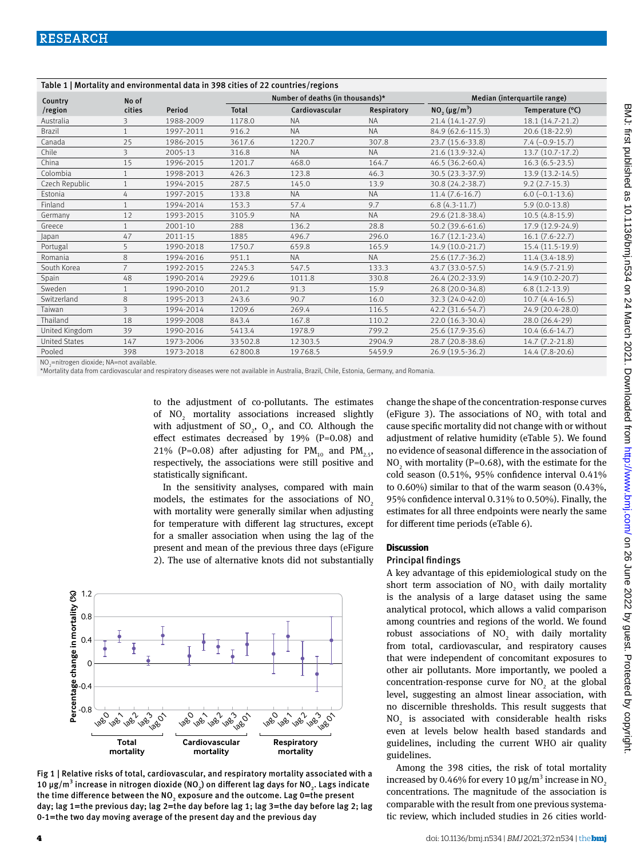| Table 1   Mortality and environmental data in 398 cities of 22 countries/regions |                         |           |                                  |                |             |                                            |                         |  |
|----------------------------------------------------------------------------------|-------------------------|-----------|----------------------------------|----------------|-------------|--------------------------------------------|-------------------------|--|
| Country                                                                          | No of                   |           | Number of deaths (in thousands)* |                |             | Median (interquartile range)               |                         |  |
| /region                                                                          | cities                  | Period    | <b>Total</b>                     | Cardiovascular | Respiratory | NO <sub>2</sub> ( $\mu$ g/m <sup>3</sup> ) | Temperature (°C)        |  |
| Australia                                                                        | 3                       | 1988-2009 | 1178.0                           | <b>NA</b>      | <b>NA</b>   | 21.4 (14.1-27.9)                           | 18.1 (14.7-21.2)        |  |
| <b>Brazil</b>                                                                    | $\mathbf{1}$            | 1997-2011 | 916.2                            | <b>NA</b>      | <b>NA</b>   | 84.9 (62.6-115.3)                          | 20.6 (18-22.9)          |  |
| Canada                                                                           | 25                      | 1986-2015 | 3617.6                           | 1220.7         | 307.8       | 23.7 (15.6-33.8)                           | $7.4 (-0.9 - 15.7)$     |  |
| Chile                                                                            | 3                       | 2005-13   | 316.8                            | <b>NA</b>      | <b>NA</b>   | 21.6 (13.9-32.4)                           | 13.7 (10.7-17.2)        |  |
| China                                                                            | 15                      | 1996-2015 | 1201.7                           | 468.0          | 164.7       | 46.5 (36.2-60.4)                           | $16.3(6.5-23.5)$        |  |
| Colombia                                                                         | $\mathbf{1}$            | 1998-2013 | 426.3                            | 123.8          | 46.3        | 30.5 (23.3-37.9)                           | 13.9 (13.2-14.5)        |  |
| Czech Republic                                                                   | $\mathbf{1}$            | 1994-2015 | 287.5                            | 145.0          | 13.9        | 30.8 (24.2-38.7)                           | $9.2(2.7-15.3)$         |  |
| Estonia                                                                          | 4                       | 1997-2015 | 133.8                            | <b>NA</b>      | <b>NA</b>   | $11.4(7.6-16.7)$                           | $6.0$ ( $-0.1 - 13.6$ ) |  |
| Finland                                                                          | $\mathbf{1}$            | 1994-2014 | 153.3                            | 57.4           | 9.7         | $6.8(4.3-11.7)$                            | $5.9(0.0-13.8)$         |  |
| Germany                                                                          | 12                      | 1993-2015 | 3105.9                           | <b>NA</b>      | <b>NA</b>   | 29.6 (21.8-38.4)                           | $10.5(4.8-15.9)$        |  |
| Greece                                                                           | $\mathbf{1}$            | 2001-10   | 288                              | 136.2          | 28.8        | 50.2 (39.6-61.6)                           | 17.9 (12.9-24.9)        |  |
| Japan                                                                            | 47                      | 2011-15   | 1885                             | 496.7          | 296.0       | $16.7(12.1-23.4)$                          | $16.1 (7.6 - 22.7)$     |  |
| Portugal                                                                         | 5                       | 1990-2018 | 1750.7                           | 659.8          | 165.9       | 14.9 (10.0-21.7)                           | 15.4 (11.5-19.9)        |  |
| Romania                                                                          | 8                       | 1994-2016 | 951.1                            | <b>NA</b>      | <b>NA</b>   | 25.6 (17.7-36.2)                           | $11.4(3.4-18.9)$        |  |
| South Korea                                                                      | $\overline{7}$          | 1992-2015 | 2245.3                           | 547.5          | 133.3       | 43.7 (33.0-57.5)                           | $14.9(5.7-21.9)$        |  |
| Spain                                                                            | 48                      | 1990-2014 | 2929.6                           | 1011.8         | 330.8       | 26.4 (20.2-33.9)                           | 14.9 (10.2-20.7)        |  |
| Sweden                                                                           | $\mathbf{1}$            | 1990-2010 | 201.2                            | 91.3           | 15.9        | 26.8 (20.0-34.8)                           | $6.8(1.2-13.9)$         |  |
| Switzerland                                                                      | 8                       | 1995-2013 | 243.6                            | 90.7           | 16.0        | 32.3 (24.0-42.0)                           | $10.7(4.4-16.5)$        |  |
| Taiwan                                                                           | $\overline{\mathbf{3}}$ | 1994-2014 | 1209.6                           | 269.4          | 116.5       | 42.2 (31.6-54.7)                           | 24.9 (20.4-28.0)        |  |
| Thailand                                                                         | 18                      | 1999-2008 | 843.4                            | 167.8          | 110.2       | 22.0 (16.3-30.4)                           | 28.0 (26.4-29)          |  |
| United Kingdom                                                                   | 39                      | 1990-2016 | 5413.4                           | 1978.9         | 799.2       | 25.6 (17.9-35.6)                           | $10.4(6.6-14.7)$        |  |
| <b>United States</b>                                                             | 147                     | 1973-2006 | 33502.8                          | 12 3 0 3.5     | 2904.9      | 28.7 (20.8-38.6)                           | 14.7 (7.2-21.8)         |  |
| Pooled                                                                           | 398                     | 1973-2018 | 62800.8                          | 19768.5        | 5459.9      | 26.9 (19.5-36.2)                           | 14.4 (7.8-20.6)         |  |

NO<sub>2</sub>=nitrogen dioxide; NA=not available.

\*Mortality data from cardiovascular and respiratory diseases were not available in Australia, Brazil, Chile, Estonia, Germany, and Romania.

to the adjustment of co-pollutants. The estimates of  $NO<sub>2</sub>$  mortality associations increased slightly with adjustment of  $SO_2$ ,  $O_3$ , and CO. Although the effect estimates decreased by 19% (P=0.08) and 21% (P=0.08) after adjusting for  $PM_{10}$  and  $PM_{2.5}$ , respectively, the associations were still positive and statistically significant.

In the sensitivity analyses, compared with main models, the estimates for the associations of  $NO<sub>2</sub>$ with mortality were generally similar when adjusting for temperature with different lag structures, except for a smaller association when using the lag of the present and mean of the previous three days (eFigure 2). The use of alternative knots did not substantially

1.2 Percentage change in mortality (%) **Percentage change in mortality (%)**<br> **Percentage change in mortality**<br>  $\begin{bmatrix}\n0.8 \\
0.8\n\end{bmatrix}$ 0.8 0.4  $\mathcal{C}_{\mathcal{C}}$ -0.4 -0.8 lago lago lag 2 lag<br>1981 )<br>1080 lago lago laga<sup>2</sup> lag<br>1981 )<br>1001 lago l<sub>ago</sub> laga.<br>Laga lag<br>1981 )<br>1001 **Respiratory Total Cardiovascular mortality mortality mortality**

Fig 1 | Relative risks of total, cardiovascular, and respiratory mortality associated with a 10 μg/m $^3$  increase in nitrogen dioxide (NO $_{\rm 2}$ ) on different lag days for NO $_{\rm 2}$ . Lags indicate the time difference between the NO<sub>2</sub> exposure and the outcome. Lag 0=the present day; lag 1=the previous day; lag 2=the day before lag 1; lag 3=the day before lag 2; lag 0-1=the two day moving average of the present day and the previous day

change the shape of the concentration-response curves (eFigure 3). The associations of  $NO<sub>2</sub>$  with total and cause specific mortality did not change with or without adjustment of relative humidity (eTable 5). We found no evidence of seasonal difference in the association of  $NO<sub>2</sub>$  with mortality (P=0.68), with the estimate for the cold season (0.51%, 95% confidence interval 0.41% to 0.60%) similar to that of the warm season (0.43%, 95% confidence interval 0.31% to 0.50%). Finally, the estimates for all three endpoints were nearly the same for different time periods (eTable 6).

#### **Discussion**

#### Principal findings

A key advantage of this epidemiological study on the short term association of  $NO<sub>2</sub>$  with daily mortality is the analysis of a large dataset using the same analytical protocol, which allows a valid comparison among countries and regions of the world. We found robust associations of  $NO<sub>2</sub>$  with daily mortality from total, cardiovascular, and respiratory causes that were independent of concomitant exposures to other air pollutants. More importantly, we pooled a concentration-response curve for  $NO<sub>2</sub>$  at the global level, suggesting an almost linear association, with no discernible thresholds. This result suggests that  $\rm NO_2$  is associated with considerable health risks even at levels below health based standards and guidelines, including the current WHO air quality guidelines.

Among the 398 cities, the risk of total mortality increased by 0.46% for every 10  $\mu$ g/m<sup>3</sup> increase in NO<sub>2</sub> concentrations. The magnitude of the association is comparable with the result from one previous systematic review, which included studies in 26 cities world-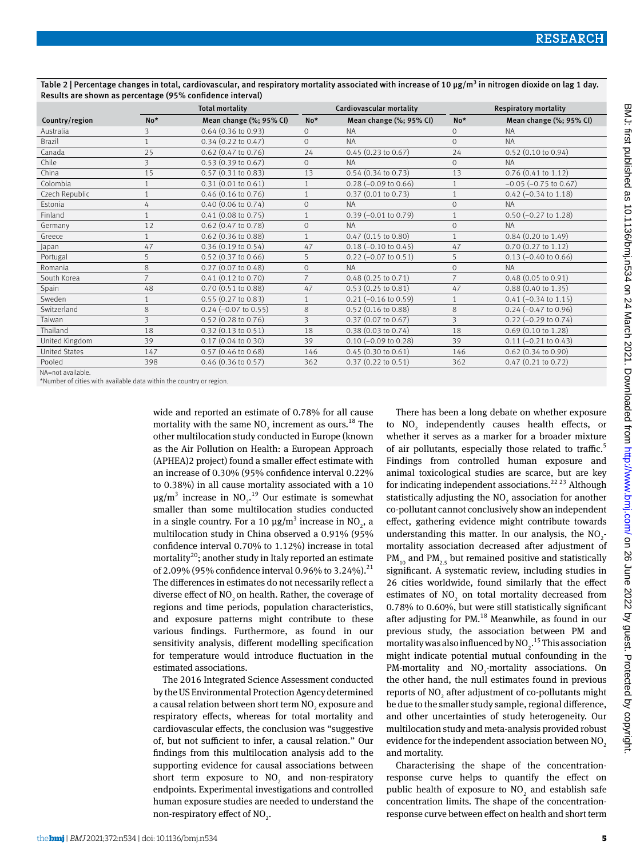|                      |                | <b>Total mortality</b>        |                | Cardiovascular mortality      | <b>Respiratory mortality</b> |                               |
|----------------------|----------------|-------------------------------|----------------|-------------------------------|------------------------------|-------------------------------|
| Country/region       | $No*$          | Mean change (%; 95% CI)       | $No*$          | Mean change (%; 95% CI)       | $No*$                        | Mean change (%; 95% CI)       |
| Australia            | 3              | $0.64$ (0.36 to 0.93)         | $\Omega$       | <b>NA</b>                     | $\circ$                      | <b>NA</b>                     |
| <b>Brazil</b>        | $\mathbf{1}$   | $0.34(0.22 \text{ to } 0.47)$ | $\Omega$       | <b>NA</b>                     | $\Omega$                     | <b>NA</b>                     |
| Canada               | 25             | $0.62$ (0.47 to 0.76)         | 24             | $0.45(0.23 \text{ to } 0.67)$ | 24                           | $0.52$ (0.10 to 0.94)         |
| Chile                | 3              | 0.53(0.39 to 0.67)            | $\mathbf{O}$   | <b>NA</b>                     | $\circ$                      | <b>NA</b>                     |
| China                | 15             | $0.57$ $(0.31$ to $0.83)$     | 13             | $0.54$ $(0.34$ to $0.73)$     | 13                           | $0.76$ (0.41 to 1.12)         |
| Colombia             |                | 0.31(0.01 to 0.61)            |                | $0.28$ (-0.09 to 0.66)        |                              | $-0.05$ ( $-0.75$ to 0.67)    |
| Czech Republic       |                | $0.46$ (0.16 to 0.76)         |                | $0.37$ (0.01 to 0.73)         |                              | $0.42$ (-0.34 to 1.18)        |
| Estonia              | 4              | $0.40$ (0.06 to 0.74)         | $\mathbf{O}$   | <b>NA</b>                     | $\circ$                      | <b>NA</b>                     |
| Finland              |                | $0.41$ (0.08 to 0.75)         | $\mathbf{1}$   | $0.39$ (-0.01 to 0.79)        | $\mathbf{1}$                 | $0.50$ (-0.27 to 1.28)        |
| Germany              | 12             | $0.62$ (0.47 to 0.78)         | $\mathbf{O}$   | <b>NA</b>                     | $\Omega$                     | <b>NA</b>                     |
| Greece               |                | $0.62$ (0.36 to 0.88)         | $\mathbf{1}$   | $0.47$ (0.15 to 0.80)         | $\mathbf{1}$                 | $0.84$ (0.20 to 1.49)         |
| Japan                | 47             | 0.36(0.19 to 0.54)            | 47             | $0.18$ (-0.10 to 0.45)        | 47                           | 0.70 (0.27 to 1.12)           |
| Portugal             | 5              | $0.52$ (0.37 to 0.66)         | 5              | $0.22$ (-0.07 to 0.51)        | 5                            | $0.13$ (-0.40 to 0.66)        |
| Romania              | 8              | 0.27 (0.07 to 0.48)           | $\mathbf{O}$   | <b>NA</b>                     | $\Omega$                     | <b>NA</b>                     |
| South Korea          | $\overline{7}$ | $0.41(0.12 \text{ to } 0.70)$ | $\overline{7}$ | $0.48$ (0.25 to 0.71)         |                              | $0.48(0.05 \text{ to } 0.91)$ |
| Spain                | 48             | 0.70 (0.51 to 0.88)           | 47             | 0.53 (0.25 to 0.81)           | 47                           | 0.88 (0.40 to 1.35)           |
| Sweden               |                | $0.55(0.27 \text{ to } 0.83)$ |                | $0.21$ (-0.16 to 0.59)        |                              | $0.41$ (-0.34 to 1.15)        |
| Switzerland          | 8              | $0.24 (-0.07 to 0.55)$        | 8              | $0.52$ (0.16 to 0.88)         | 8                            | $0.24 (-0.47 to 0.96)$        |
| Taiwan               | 3              | $0.52$ (0.28 to 0.76)         | 3              | $0.37$ (0.07 to 0.67)         | 3                            | $0.22$ (-0.29 to 0.74)        |
| Thailand             | 18             | $0.32(0.13 \text{ to } 0.51)$ | 18             | $0.38(0.03 \text{ to } 0.74)$ | 18                           | $0.69$ (0.10 to 1.28)         |
| United Kingdom       | 39             | $0.17$ (0.04 to 0.30)         | 39             | $0.10 (-0.09 to 0.28)$        | 39                           | $0.11 (-0.21 to 0.43)$        |
| <b>United States</b> | 147            | $0.57$ (0.46 to 0.68)         | 146            | 0.45(0.30 to 0.61)            | 146                          | $0.62$ (0.34 to 0.90)         |
| Pooled               | 398            | $0.46$ (0.36 to 0.57)         | 362            | 0.37 (0.22 to 0.51)           | 362                          | $0.47$ $(0.21$ to $0.72)$     |
|                      |                |                               |                |                               |                              |                               |

Table 2 | Percentage changes in total, cardiovascular, and respiratory mortality associated with increase of 10 µg/m<sup>3</sup> in nitrogen dioxide on lag 1 day. Results are shown as percentage (95% confidence interval)

NA=not available.

\*Number of cities with available data within the country or region.

wide and reported an estimate of 0.78% for all cause mortality with the same  $NO<sub>2</sub>$  increment as ours.<sup>18</sup> The other multilocation study conducted in Europe (known as the Air Pollution on Health: a European Approach (APHEA)2 project) found a smaller effect estimate with an increase of 0.30% (95% confidence interval 0.22% to 0.38%) in all cause mortality associated with a 10  $\mu$ g/m<sup>3</sup> increase in NO<sub>2</sub>.<sup>19</sup> Our estimate is somewhat smaller than some multilocation studies conducted in a single country. For a 10  $\mu$ g/m<sup>3</sup> increase in NO<sub>2</sub>, a multilocation study in China observed a 0.91% (95% confidence interval 0.70% to 1.12%) increase in total mortality<sup>20</sup>; another study in Italy reported an estimate of 2.09% (95% confidence interval 0.96% to 3.24%).<sup>21</sup> The differences in estimates do not necessarily reflect a diverse effect of NO<sub>2</sub> on health. Rather, the coverage of regions and time periods, population characteristics, and exposure patterns might contribute to these various findings. Furthermore, as found in our sensitivity analysis, different modelling specification for temperature would introduce fluctuation in the estimated associations.

The 2016 Integrated Science Assessment conducted by the US Environmental Protection Agency determined a causal relation between short term  $\mathrm{NO}_2^{}$  exposure and respiratory effects, whereas for total mortality and cardiovascular effects, the conclusion was "suggestive of, but not sufficient to infer, a causal relation." Our findings from this multilocation analysis add to the supporting evidence for causal associations between short term exposure to  $NO<sub>2</sub>$  and non-respiratory endpoints. Experimental investigations and controlled human exposure studies are needed to understand the non-respiratory effect of  $NO<sub>2</sub>$ .

There has been a long debate on whether exposure to  $NO<sub>2</sub>$  independently causes health effects, or whether it serves as a marker for a broader mixture of air pollutants, especially those related to traffic.<sup>5</sup> Findings from controlled human exposure and animal toxicological studies are scarce, but are key for indicating independent associations.<sup>22 23</sup> Although statistically adjusting the  $NO<sub>2</sub>$  association for another co-pollutant cannot conclusively show an independent effect, gathering evidence might contribute towards understanding this matter. In our analysis, the  $NO<sub>2</sub>$ mortality association decreased after adjustment of  $PM_{10}$  and  $PM_{25}$  but remained positive and statistically significant. A systematic review, including studies in 26 cities worldwide, found similarly that the effect estimates of  $NO<sub>2</sub>$  on total mortality decreased from 0.78% to 0.60%, but were still statistically significant after adjusting for PM.<sup>18</sup> Meanwhile, as found in our previous study, the association between PM and mortality was also influenced by  $NO<sub>2</sub>$ .<sup>15</sup> This association might indicate potential mutual confounding in the PM-mortality and  $NO<sub>2</sub>$ -mortality associations. On the other hand, the null estimates found in previous reports of  $\mathrm{NO}_2$  after adjustment of co-pollutants might be due to the smaller study sample, regional difference, and other uncertainties of study heterogeneity. Our multilocation study and meta-analysis provided robust evidence for the independent association between  $NO<sub>2</sub>$ and mortality.

Characterising the shape of the concentrationresponse curve helps to quantify the effect on public health of exposure to  $NO<sub>2</sub>$  and establish safe concentration limits. The shape of the concentrationresponse curve between effect on health and short term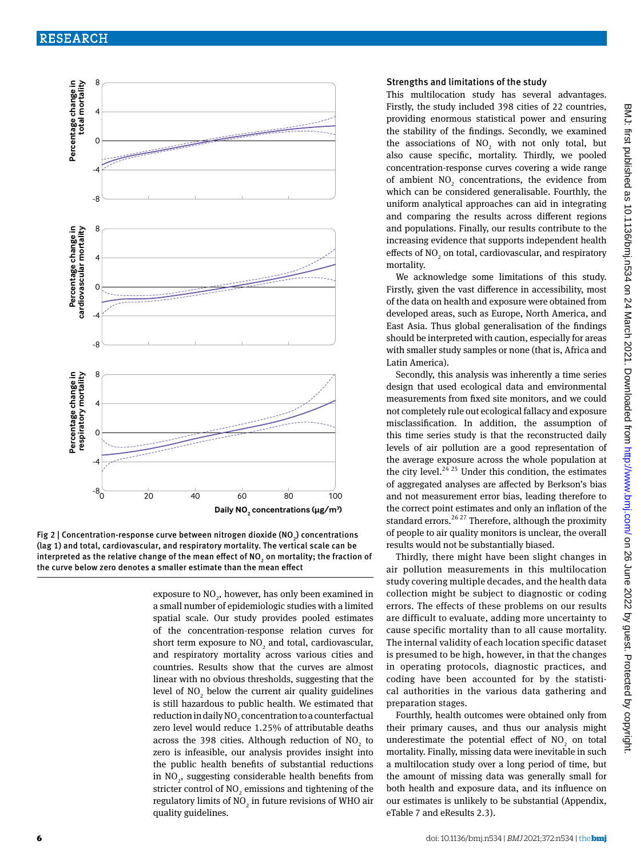

Fig 2 | Concentration-response curve between nitrogen dioxide (NO<sub>2</sub>) concentrations (lag 1) and total, cardiovascular, and respiratory mortality. The vertical scale can be interpreted as the relative change of the mean effect of NO<sub>2</sub> on mortality; the fraction of the curve below zero denotes a smaller estimate than the mean effect

exposure to  $\mathrm{NO}_2^{}$ , however, has only been examined in a small number of epidemiologic studies with a limited spatial scale. Our study provides pooled estimates of the concentration-response relation curves for short term exposure to  $NO_2$  and total, cardiovascular, and respiratory mortality across various cities and countries. Results show that the curves are almost linear with no obvious thresholds, suggesting that the level of  $NO_2$  below the current air quality guidelines is still hazardous to public health. We estimated that reduction in daily NO<sub>2</sub> concentration to a counterfactual zero level would reduce 1.25% of attributable deaths across the 398 cities. Although reduction of  $NO<sub>2</sub>$  to zero is infeasible, our analysis provides insight into the public health benefits of substantial reductions in  $NO<sub>2</sub>$ , suggesting considerable health benefits from stricter control of  $\mathrm{NO}_2$  emissions and tightening of the regulatory limits of  $\mathrm{NO}_2$  in future revisions of WHO air quality guidelines.

#### Strengths and limitations of the study

This multilocation study has several advantages. Firstly, the study included 398 cities of 22 countries, providing enormous statistical power and ensuring the stability of the findings. Secondly, we examined the associations of  $NO<sub>2</sub>$  with not only total, but also cause specific, mortality. Thirdly, we pooled concentration-response curves covering a wide range of ambient  $NO<sub>2</sub>$  concentrations, the evidence from which can be considered generalisable. Fourthly, the uniform analytical approaches can aid in integrating and comparing the results across different regions and populations. Finally, our results contribute to the increasing evidence that supports independent health effects of  $NO_2$  on total, cardiovascular, and respiratory mortality.

We acknowledge some limitations of this study. Firstly, given the vast difference in accessibility, most of the data on health and exposure were obtained from developed areas, such as Europe, North America, and East Asia. Thus global generalisation of the findings should be interpreted with caution, especially for areas with smaller study samples or none (that is, Africa and Latin America).

Secondly, this analysis was inherently a time series design that used ecological data and environmental measurements from fixed site monitors, and we could not completely rule out ecological fallacy and exposure misclassification. In addition, the assumption of this time series study is that the reconstructed daily levels of air pollution are a good representation of the average exposure across the whole population at the city level.<sup>24, 25</sup> Under this condition, the estimates of aggregated analyses are affected by Berkson's bias and not measurement error bias, leading therefore to the correct point estimates and only an inflation of the standard errors.<sup>26, 27</sup> Therefore, although the proximity of people to air quality monitors is unclear, the overall results would not be substantially biased.

Thirdly, there might have been slight changes in air pollution measurements in this multilocation study covering multiple decades, and the health data collection might be subject to diagnostic or coding errors. The effects of these problems on our results are difficult to evaluate, adding more uncertainty to cause specific mortality than to all cause mortality. The internal validity of each location specific dataset is presumed to be high, however, in that the changes in operating protocols, diagnostic practices, and coding have been accounted for by the statistical authorities in the various data gathering and preparation stages.

Fourthly, health outcomes were obtained only from their primary causes, and thus our analysis might underestimate the potential effect of  $NO<sub>2</sub>$  on total mortality. Finally, missing data were inevitable in such a multilocation study over a long period of time, but the amount of missing data was generally small for both health and exposure data, and its influence on our estimates is unlikely to be substantial (Appendix, eTable 7 and eResults 2.3).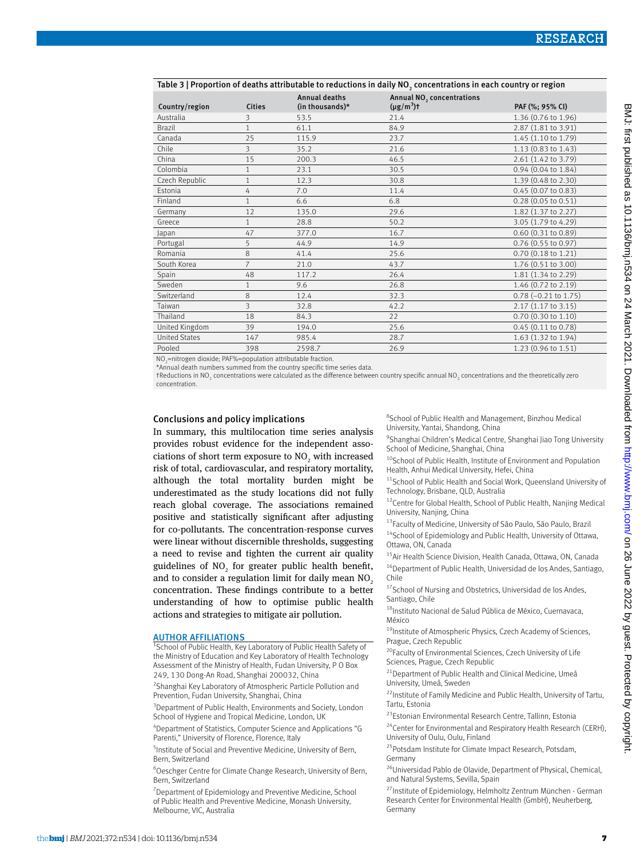| Table 3   Proportion of deaths attributable to reductions in daily NO, concentrations in each country or region |                |                                         |                                                          |                                 |  |  |  |
|-----------------------------------------------------------------------------------------------------------------|----------------|-----------------------------------------|----------------------------------------------------------|---------------------------------|--|--|--|
| Country/region                                                                                                  | <b>Cities</b>  | <b>Annual deaths</b><br>(in thousands)* | Annual NO <sub>2</sub> concentrations<br>$(\mu g/m^3)$ t | PAF (%; 95% CI)                 |  |  |  |
| Australia                                                                                                       | 3              | 53.5                                    | 21.4                                                     | 1.36 (0.76 to 1.96)             |  |  |  |
| <b>Brazil</b>                                                                                                   | 1              | 61.1                                    | 84.9                                                     | 2.87 (1.81 to 3.91)             |  |  |  |
| Canada                                                                                                          | 25             | 115.9                                   | 23.7                                                     | 1.45 (1.10 to 1.79)             |  |  |  |
| Chile                                                                                                           | $\overline{3}$ | 35.2                                    | 21.6                                                     | 1.13 (0.83 to 1.43)             |  |  |  |
| China                                                                                                           | 15             | 200.3                                   | 46.5                                                     | 2.61 (1.42 to 3.79)             |  |  |  |
| Colombia                                                                                                        |                | 23.1                                    | 30.5                                                     | 0.94 (0.04 to 1.84)             |  |  |  |
| Czech Republic                                                                                                  | 1              | 12.3                                    | 30.8                                                     | 1.39 (0.48 to 2.30)             |  |  |  |
| Estonia                                                                                                         | 4              | 7.0                                     | 11.4                                                     | $0.45$ (0.07 to 0.83)           |  |  |  |
| Finland                                                                                                         | 1              | 6.6                                     | 6.8                                                      | $0.28$ (0.05 to 0.51)           |  |  |  |
| Germany                                                                                                         | 12             | 135.0                                   | 29.6                                                     | 1.82 (1.37 to 2.27)             |  |  |  |
| Greece                                                                                                          | 1              | 28.8                                    | 50.2                                                     | 3.05 (1.79 to 4.29)             |  |  |  |
| Japan                                                                                                           | 47             | 377.0                                   | 16.7                                                     | $0.60$ $(0.31$ to $0.89)$       |  |  |  |
| Portugal                                                                                                        | 5              | 44.9                                    | 14.9                                                     | 0.76 (0.55 to 0.97)             |  |  |  |
| Romania                                                                                                         | 8              | 41.4                                    | 25.6                                                     | 0.70 (0.18 to 1.21)             |  |  |  |
| South Korea                                                                                                     | 7              | 21.0                                    | 43.7                                                     | 1.76 (0.51 to 3.00)             |  |  |  |
| Spain                                                                                                           | 48             | 117.2                                   | 26.4                                                     | 1.81 (1.34 to 2.29)             |  |  |  |
| Sweden                                                                                                          |                | 9.6                                     | 26.8                                                     | 1.46 (0.72 to 2.19)             |  |  |  |
| Switzerland                                                                                                     | 8              | 12.4                                    | 32.3                                                     | $0.78 (-0.21 \text{ to } 1.75)$ |  |  |  |
| Taiwan                                                                                                          | 3              | 32.8                                    | 42.2                                                     | 2.17 (1.17 to 3.15)             |  |  |  |
| Thailand                                                                                                        | 18             | 84.3                                    | 22                                                       | 0.70 (0.30 to 1.10)             |  |  |  |
| United Kingdom                                                                                                  | 39             | 194.0                                   | 25.6                                                     | $0.45$ $(0.11$ to $0.78)$       |  |  |  |
| <b>United States</b>                                                                                            | 147            | 985.4                                   | 28.7                                                     | 1.63 (1.32 to 1.94)             |  |  |  |
| Pooled                                                                                                          | 398            | 2598.7                                  | 26.9                                                     | 1.23 (0.96 to 1.51)             |  |  |  |
|                                                                                                                 |                |                                         |                                                          |                                 |  |  |  |

NO<sub>2</sub>=nitrogen dioxide; PAF%=population attributable fraction. \*Annual death numbers summed from the country specific time series data.

Table 3 | Proportion of deaths attributable to reductions in daily NO2

†Reductions in NO2 concentrations were calculated as the difference between country specific annual NO2 concentrations and the theoretically zero concentration.

#### Conclusions and policy implications

In summary, this multilocation time series analysis provides robust evidence for the independent associations of short term exposure to  $NO<sub>2</sub>$  with increased risk of total, cardiovascular, and respiratory mortality, although the total mortality burden might be underestimated as the study locations did not fully reach global coverage. The associations remained positive and statistically significant after adjusting for co-pollutants. The concentration-response curves were linear without discernible thresholds, suggesting a need to revise and tighten the current air quality guidelines of  $NO<sub>2</sub>$  for greater public health benefit, and to consider a regulation limit for daily mean NO<sub>2</sub> concentration. These findings contribute to a better understanding of how to optimise public health actions and strategies to mitigate air pollution.

#### **AUTHOR AFFILIATIONS**

<sup>1</sup>School of Public Health, Key Laboratory of Public Health Safety of the Ministry of Education and Key Laboratory of Health Technology Assessment of the Ministry of Health, Fudan University, P O Box 249, 130 Dong-An Road, Shanghai 200032, China

<sup>2</sup> Shanghai Key Laboratory of Atmospheric Particle Pollution and Prevention, Fudan University, Shanghai, China

<sup>3</sup> Department of Public Health, Environments and Society, London School of Hygiene and Tropical Medicine, London, UK

4 Department of Statistics, Computer Science and Applications "G Parenti," University of Florence, Florence, Italy

5 Institute of Social and Preventive Medicine, University of Bern, Bern, Switzerland

6 Oeschger Centre for Climate Change Research, University of Bern, Bern, Switzerland

<sup>7</sup> Department of Epidemiology and Preventive Medicine, School of Public Health and Preventive Medicine, Monash University, Melbourne, VIC, Australia

8 School of Public Health and Management, Binzhou Medical University, Yantai, Shandong, China

9 Shanghai Children's Medical Centre, Shanghai Jiao Tong University School of Medicine, Shanghai, China

- <sup>10</sup>School of Public Health, Institute of Environment and Population Health, Anhui Medical University, Hefei, China
- <sup>11</sup>School of Public Health and Social Work, Queensland University of Technology, Brisbane, QLD, Australia
- <sup>12</sup>Centre for Global Health, School of Public Health, Nanjing Medical University, Nanjing, China
- 13Faculty of Medicine, University of São Paulo, São Paulo, Brazil
- $14$ School of Epidemiology and Public Health, University of Ottawa, Ottawa, ON, Canada

<sup>15</sup>Air Health Science Division, Health Canada, Ottawa, ON, Canada <sup>16</sup>Department of Public Health, Universidad de los Andes, Santiago, Chile

<sup>17</sup>School of Nursing and Obstetrics, Universidad de los Andes, Santiago, Chile

18Instituto Nacional de Salud Pública de México, Cuernavaca, México

<sup>19</sup>Institute of Atmospheric Physics, Czech Academy of Sciences, Prague, Czech Republic

<sup>20</sup>Faculty of Environmental Sciences, Czech University of Life Sciences, Prague, Czech Republic

<sup>21</sup> Department of Public Health and Clinical Medicine, Umeå University, Umeå, Sweden

 $22$ Institute of Family Medicine and Public Health, University of Tartu, Tartu, Estonia

<sup>23</sup>Estonian Environmental Research Centre, Tallinn, Estonia

<sup>24</sup>Center for Environmental and Respiratory Health Research (CERH) University of Oulu, Oulu, Finland

<sup>25</sup>Potsdam Institute for Climate Impact Research, Potsdam, Germany

26Universidad Pablo de Olavide, Department of Physical, Chemical, and Natural Systems, Sevilla, Spain

<sup>27</sup> Institute of Epidemiology, Helmholtz Zentrum München - German Research Center for Environmental Health (GmbH), Neuherberg, Germany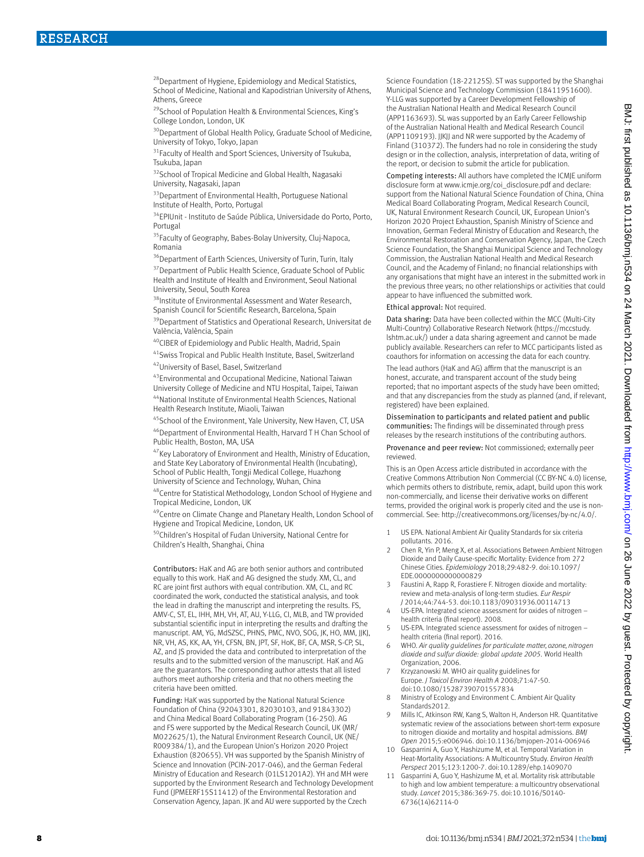<sup>28</sup> Department of Hygiene, Epidemiology and Medical Statistics, School of Medicine, National and Kapodistrian University of Athens, Athens, Greece

29School of Population Health & Environmental Sciences, King's College London, London, UK

<sup>30</sup>Department of Global Health Policy, Graduate School of Medicine, University of Tokyo, Tokyo, Japan

<sup>31</sup> Faculty of Health and Sport Sciences, University of Tsukuba, Tsukuba, Japan

<sup>32</sup>School of Tropical Medicine and Global Health, Nagasaki University, Nagasaki, Japan

<sup>33</sup> Department of Environmental Health, Portuguese National Institute of Health, Porto, Portugal

34EPIUnit - Instituto de Saúde Pública, Universidade do Porto, Porto, Portugal

<sup>35</sup>Faculty of Geography, Babes-Bolay University, Cluj-Napoca, Romania

<sup>36</sup>Department of Earth Sciences, University of Turin, Turin, Italy

<sup>37</sup> Department of Public Health Science, Graduate School of Public Health and Institute of Health and Environment, Seoul National University, Seoul, South Korea

38Institute of Environmental Assessment and Water Research, Spanish Council for Scientific Research, Barcelona, Spain

<sup>39</sup>Department of Statistics and Operational Research, Universitat de València, València, Spain

<sup>40</sup>CIBER of Epidemiology and Public Health, Madrid, Spain

41Swiss Tropical and Public Health Institute, Basel, Switzerland

42 University of Basel, Basel, Switzerland

43Environmental and Occupational Medicine, National Taiwan University College of Medicine and NTU Hospital, Taipei, Taiwan 44National Institute of Environmental Health Sciences, National

Health Research Institute, Miaoli, Taiwan

45 School of the Environment, Yale University, New Haven, CT, USA 46Department of Environmental Health, Harvard T H Chan School of Public Health, Boston, MA, USA

<sup>47</sup>Key Laboratory of Environment and Health, Ministry of Education, and State Key Laboratory of Environmental Health (Incubating), School of Public Health, Tongji Medical College, Huazhong University of Science and Technology, Wuhan, China

48Centre for Statistical Methodology, London School of Hygiene and Tropical Medicine, London, UK

49Centre on Climate Change and Planetary Health, London School of Hygiene and Tropical Medicine, London, UK

50Children's Hospital of Fudan University, National Centre for Children's Health, Shanghai, China

Contributors: HaK and AG are both senior authors and contributed equally to this work. HaK and AG designed the study. XM, CL, and RC are joint first authors with equal contribution. XM, CL, and RC coordinated the work, conducted the statistical analysis, and took the lead in drafting the manuscript and interpreting the results. FS, AMV-C, ST, EL, IHH, MH, VH, AT, AU, Y-LLG, CI, MLB, and TW provided substantial scientific input in interpreting the results and drafting the manuscript. AM, YG, MdSZSC, PHNS, PMC, NVO, SOG, JK, HO, MM, JJKJ, NR, VH, AS, KK, AA, YH, CFSN, BN, JPT, SF, HoK, BF, CA, MSR, S-CP, SL, AZ, and JS provided the data and contributed to interpretation of the results and to the submitted version of the manuscript. HaK and AG are the guarantors. The corresponding author attests that all listed authors meet authorship criteria and that no others meeting the criteria have been omitted.

Funding: HaK was supported by the National Natural Science Foundation of China (92043301, 82030103, and 91843302) and China Medical Board Collaborating Program (16-250). AG and FS were supported by the Medical Research Council, UK (MR/ M022625/1), the Natural Environment Research Council, UK (NE/ R009384/1), and the European Union's Horizon 2020 Project Exhaustion (820655). VH was supported by the Spanish Ministry of Science and Innovation (PCIN-2017-046), and the German Federal Ministry of Education and Research (01LS1201A2). YH and MH were supported by the Environment Research and Technology Development Fund (JPMEERF15S11412) of the Environmental Restoration and Conservation Agency, Japan. JK and AU were supported by the Czech

Science Foundation (18-22125S). ST was supported by the Shanghai Municipal Science and Technology Commission (18411951600). Y-LLG was supported by a Career Development Fellowship of the Australian National Health and Medical Research Council (APP1163693). SL was supported by an Early Career Fellowship of the Australian National Health and Medical Research Council (APP1109193). JJKJJ and NR were supported by the Academy of Finland (310372). The funders had no role in considering the study design or in the collection, analysis, interpretation of data, writing of the report, or decision to submit the article for publication.

Competing interests: All authors have completed the ICMJE uniform disclosure form at [www.icmje.org/coi\\_disclosure.pdf](http://www.icmje.org/coi_disclosure.pdf) and declare: support from the National Natural Science Foundation of China, China Medical Board Collaborating Program, Medical Research Council, UK, Natural Environment Research Council, UK, European Union's Horizon 2020 Project Exhaustion, Spanish Ministry of Science and Innovation, German Federal Ministry of Education and Research, the Environmental Restoration and Conservation Agency, Japan, the Czech Science Foundation, the Shanghai Municipal Science and Technology Commission, the Australian National Health and Medical Research Council, and the Academy of Finland; no financial relationships with any organisations that might have an interest in the submitted work in the previous three years; no other relationships or activities that could appear to have influenced the submitted work.

#### Ethical approval: Not required.

Data sharing: Data have been collected within the MCC (Multi-City Multi-Country) Collaborative Research Network [\(https://mccstudy.](https://mccstudy.lshtm.ac.uk/) [lshtm.ac.uk/\)](https://mccstudy.lshtm.ac.uk/) under a data sharing agreement and cannot be made publicly available. Researchers can refer to MCC participants listed as coauthors for information on accessing the data for each country.

The lead authors (HaK and AG) affirm that the manuscript is an honest, accurate, and transparent account of the study being reported; that no important aspects of the study have been omitted; and that any discrepancies from the study as planned (and, if relevant, registered) have been explained.

Dissemination to participants and related patient and public communities: The findings will be disseminated through press releases by the research institutions of the contributing authors.

Provenance and peer review: Not commissioned; externally peer reviewed.

This is an Open Access article distributed in accordance with the Creative Commons Attribution Non Commercial (CC BY-NC 4.0) license, which permits others to distribute, remix, adapt, build upon this work non-commercially, and license their derivative works on different terms, provided the original work is properly cited and the use is noncommercial. See:<http://creativecommons.org/licenses/by-nc/4.0/>.

- 1 US EPA. National Ambient Air Quality Standards for six criteria pollutants. 2016.
- 2 Chen R, Yin P, Meng X, et al. Associations Between Ambient Nitrogen Dioxide and Daily Cause-specific Mortality: Evidence from 272 Chinese Cities. *Epidemiology* 2018;29:482-9. doi:10.1097/ EDE.0000000000000829
- 3 Faustini A, Rapp R, Forastiere F. Nitrogen dioxide and mortality: review and meta-analysis of long-term studies. *Eur Respir J* 2014;44:744-53. doi:10.1183/09031936.00114713
- 4 US-EPA. Integrated science assessment for oxides of nitrogen health criteria (final report). 2008.
- 5 US-EPA. Integrated science assessment for oxides of nitrogen health criteria (final report). 2016.
- 6 WHO. *Air quality guidelines for particulate matter, ozone, nitrogen dioxide and sulfur dioxide: global update 2005.* World Health Organization, 2006.
- 7 Krzyzanowski M. WHO air quality guidelines for Europe. *J Toxicol Environ Health A* 2008;71:47-50. doi:10.1080/15287390701557834
- 8 Ministry of Ecology and Environment C. Ambient Air Quality Standards2012.
- 9 Mills IC, Atkinson RW, Kang S, Walton H, Anderson HR. Quantitative systematic review of the associations between short-term exposure to nitrogen dioxide and mortality and hospital admissions. *BMJ Open* 2015;5:e006946. doi:10.1136/bmjopen-2014-006946
- 10 Gasparrini A, Guo Y, Hashizume M, et al. Temporal Variation in Heat-Mortality Associations: A Multicountry Study. *Environ Health Perspect* 2015;123:1200-7. doi:10.1289/ehp.1409070
- 11 Gasparrini A, Guo Y, Hashizume M, et al. Mortality risk attributable to high and low ambient temperature: a multicountry observational study. *Lancet* 2015;386:369-75. doi:10.1016/S0140- 6736(14)62114-0